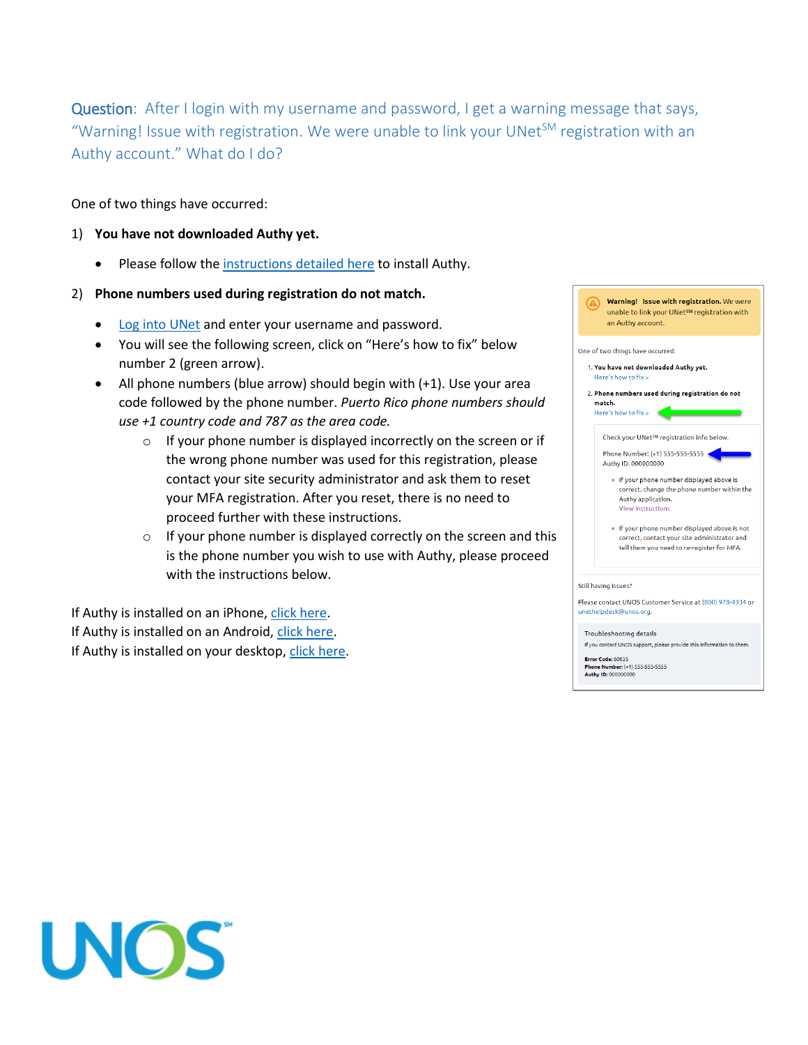Question: After I login with my username and password, I get a warning message that says, "Warning! Issue with registration. We were unable to link your UNet<sup>SM</sup> registration with an Authy account." What do I do?

One of two things have occurred:

- 1) **You have not downloaded Authy yet.**
	- Please follow the [instructions detailed here](https://unos.org/technology/unet/mfa/#HowToSetUpMFA) to install Authy.

#### 2) **Phone numbers used during registration do not match.**

- [Log into UNet](https://portal.unos.org/) and enter your username and password.
- You will see the following screen, click on "Here's how to fix" below number 2 (green arrow).
- All phone numbers (blue arrow) should begin with (+1). Use your area code followed by the phone number. *Puerto Rico phone numbers should use +1 country code and 787 as the area code.*
	- $\circ$  If your phone number is displayed incorrectly on the screen or if the wrong phone number was used for this registration, please contact your site security administrator and ask them to reset your MFA registration. After you reset, there is no need to proceed further with these instructions.
	- $\circ$  If your phone number is displayed correctly on the screen and this is the phone number you wish to use with Authy, please proceed with the instructions below.

If Authy is installed on an iPhone, [click here.](#page-1-0) If Authy is installed on an Android, [click here.](#page-2-0) If Authy is installed on your desktop, [click here.](#page-3-0)



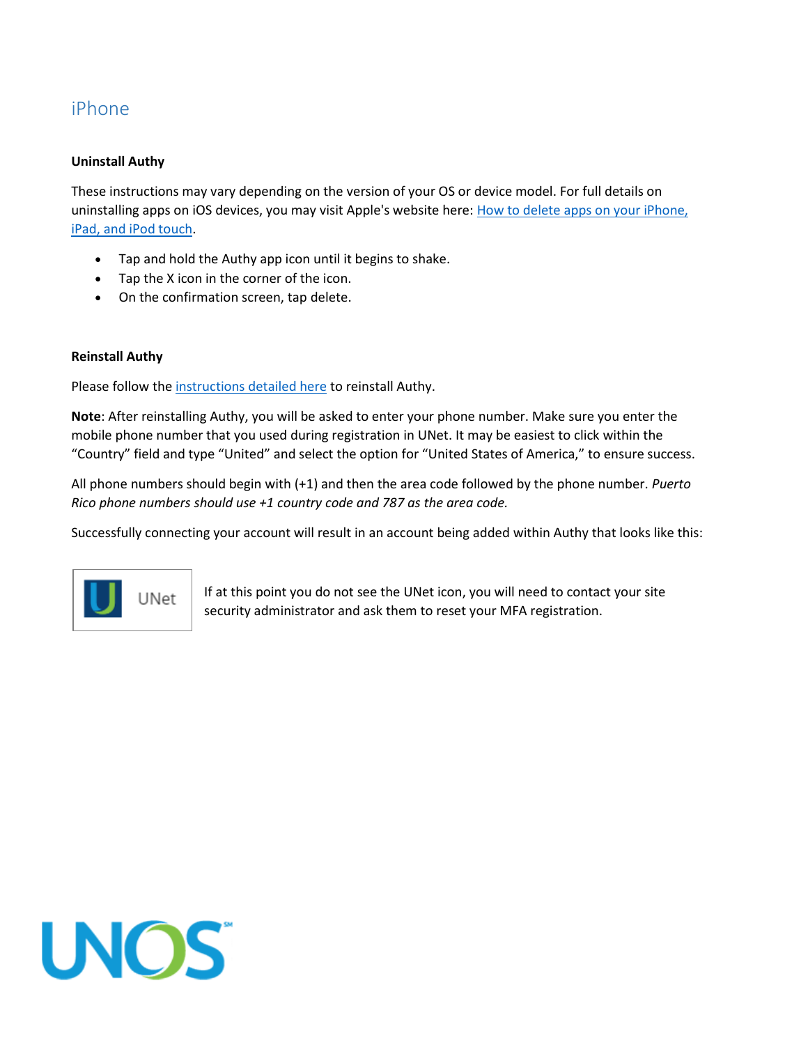# <span id="page-1-0"></span>iPhone

### **Uninstall Authy**

These instructions may vary depending on the version of your OS or device model. For full details on uninstalling apps on iOS devices, you may visit Apple's website here: How to delete apps on your iPhone, [iPad, and iPod touch.](https://support.apple.com/en-us/HT207618)

- Tap and hold the Authy app icon until it begins to shake.
- Tap the X icon in the corner of the icon.
- On the confirmation screen, tap delete.

### **Reinstall Authy**

Please follow the [instructions detailed here](https://unos.org/technology/unet/mfa/#HowToSetUpMFA) to reinstall Authy.

**Note**: After reinstalling Authy, you will be asked to enter your phone number. Make sure you enter the mobile phone number that you used during registration in UNet. It may be easiest to click within the "Country" field and type "United" and select the option for "United States of America," to ensure success.

All phone numbers should begin with (+1) and then the area code followed by the phone number. *Puerto Rico phone numbers should use +1 country code and 787 as the area code.*

Successfully connecting your account will result in an account being added within Authy that looks like this:



If at this point you do not see the UNet icon, you will need to contact your site security administrator and ask them to reset your MFA registration.

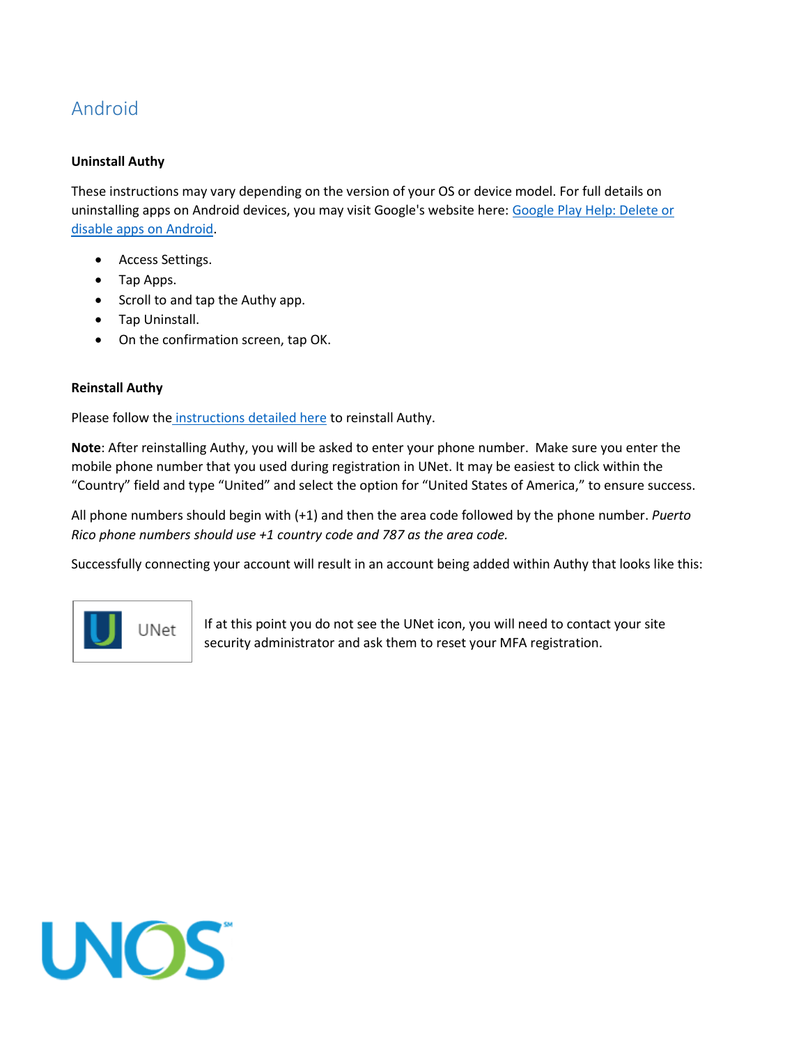# <span id="page-2-0"></span>Android

## **Uninstall Authy**

These instructions may vary depending on the version of your OS or device model. For full details on uninstalling apps on Android devices, you may visit Google's website here: [Google Play Help: Delete or](https://support.google.com/googleplay/answer/2521768?hl=en)  [disable apps on Android.](https://support.google.com/googleplay/answer/2521768?hl=en)

- Access Settings.
- Tap Apps.
- Scroll to and tap the Authy app.
- Tap Uninstall.
- On the confirmation screen, tap OK.

### **Reinstall Authy**

Please follow the [instructions detailed here](https://unos.org/technology/unet/mfa/#HowToSetUpMFA) to reinstall Authy.

**Note**: After reinstalling Authy, you will be asked to enter your phone number. Make sure you enter the mobile phone number that you used during registration in UNet. It may be easiest to click within the "Country" field and type "United" and select the option for "United States of America," to ensure success.

All phone numbers should begin with (+1) and then the area code followed by the phone number. *Puerto Rico phone numbers should use +1 country code and 787 as the area code.*

Successfully connecting your account will result in an account being added within Authy that looks like this:



If at this point you do not see the UNet icon, you will need to contact your site security administrator and ask them to reset your MFA registration.